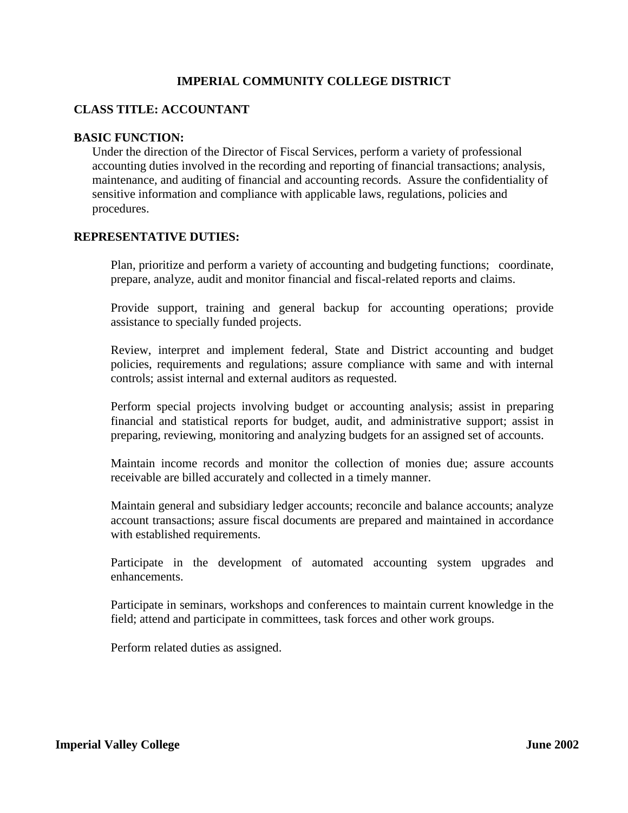# **IMPERIAL COMMUNITY COLLEGE DISTRICT**

## **CLASS TITLE: ACCOUNTANT**

#### **BASIC FUNCTION:**

Under the direction of the Director of Fiscal Services, perform a variety of professional accounting duties involved in the recording and reporting of financial transactions; analysis, maintenance, and auditing of financial and accounting records. Assure the confidentiality of sensitive information and compliance with applicable laws, regulations, policies and procedures.

### **REPRESENTATIVE DUTIES:**

Plan, prioritize and perform a variety of accounting and budgeting functions; coordinate, prepare, analyze, audit and monitor financial and fiscal-related reports and claims.

Provide support, training and general backup for accounting operations; provide assistance to specially funded projects.

Review, interpret and implement federal, State and District accounting and budget policies, requirements and regulations; assure compliance with same and with internal controls; assist internal and external auditors as requested.

Perform special projects involving budget or accounting analysis; assist in preparing financial and statistical reports for budget, audit, and administrative support; assist in preparing, reviewing, monitoring and analyzing budgets for an assigned set of accounts.

Maintain income records and monitor the collection of monies due; assure accounts receivable are billed accurately and collected in a timely manner.

Maintain general and subsidiary ledger accounts; reconcile and balance accounts; analyze account transactions; assure fiscal documents are prepared and maintained in accordance with established requirements.

Participate in the development of automated accounting system upgrades and enhancements.

Participate in seminars, workshops and conferences to maintain current knowledge in the field; attend and participate in committees, task forces and other work groups.

Perform related duties as assigned.